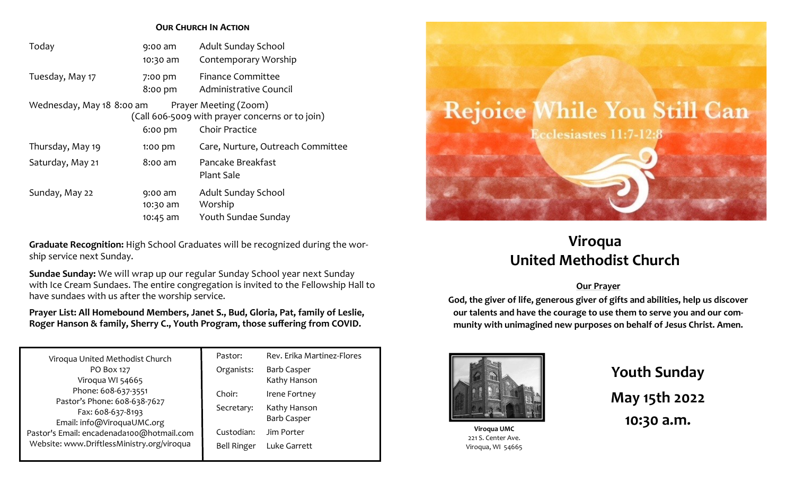#### **Our Church In Action**

| Today                     | $9:00$ am<br>10:30 am | <b>Adult Sunday School</b><br>Contemporary Worship                                         |
|---------------------------|-----------------------|--------------------------------------------------------------------------------------------|
| Tuesday, May 17           | 7:00 pm<br>8:00 pm    | <b>Finance Committee</b><br>Administrative Council                                         |
| Wednesday, May 18 8:00 am | $6:00$ pm             | Prayer Meeting (Zoom)<br>(Call 606-5009 with prayer concerns or to join)<br>Choir Practice |
| Thursday, May 19          | 1:00 pm               | Care, Nurture, Outreach Committee                                                          |
| Saturday, May 21          | 8:00 am               | Pancake Breakfast<br><b>Plant Sale</b>                                                     |
| Sunday, May 22            | 9:00 am<br>10:30 am   | Adult Sunday School<br>Worship                                                             |
|                           | 10:45 am              | Youth Sundae Sunday                                                                        |

**Graduate Recognition:** High School Graduates will be recognized during the worship service next Sunday.

**Sundae Sunday:** We will wrap up our regular Sunday School year next Sunday with Ice Cream Sundaes. The entire congregation is invited to the Fellowship Hall to have sundaes with us after the worship service.

**Prayer List: All Homebound Members, Janet S., Bud, Gloria, Pat, family of Leslie, Roger Hanson & family, Sherry C., Youth Program, those suffering from COVID.**

| Viroqua United Methodist Church                                                         | Pastor:            | Rev. Erika Martinez-Flores |
|-----------------------------------------------------------------------------------------|--------------------|----------------------------|
| PO Box 127                                                                              | Organists:         | <b>Barb Casper</b>         |
| Viroqua WI 54665                                                                        |                    | Kathy Hanson               |
| Phone: 608-637-3551<br>Pastor's Phone: 608-638-7627                                     | Choir:             | Irene Fortney              |
|                                                                                         | Secretary:         | Kathy Hanson               |
| Fax: 608-637-8193                                                                       |                    | <b>Barb Casper</b>         |
| Email: info@ViroquaUMC.org                                                              |                    |                            |
| Pastor's Email: encadenada100@hotmail.com<br>Website: www.DriftlessMinistry.org/viroqua | Custodian:         | Jim Porter                 |
|                                                                                         | <b>Bell Ringer</b> | Luke Garrett               |
|                                                                                         |                    |                            |



# **Viroqua United Methodist Church**

#### **Our Prayer**

**God, the giver of life, generous giver of gifts and abilities, help us discover our talents and have the courage to use them to serve you and our community with unimagined new purposes on behalf of Jesus Christ. Amen.**



**Viroqua UMC** 221 S. Center Ave. Viroqua, WI 54665 **Youth Sunday May 15th 2022 10:30 a.m.**